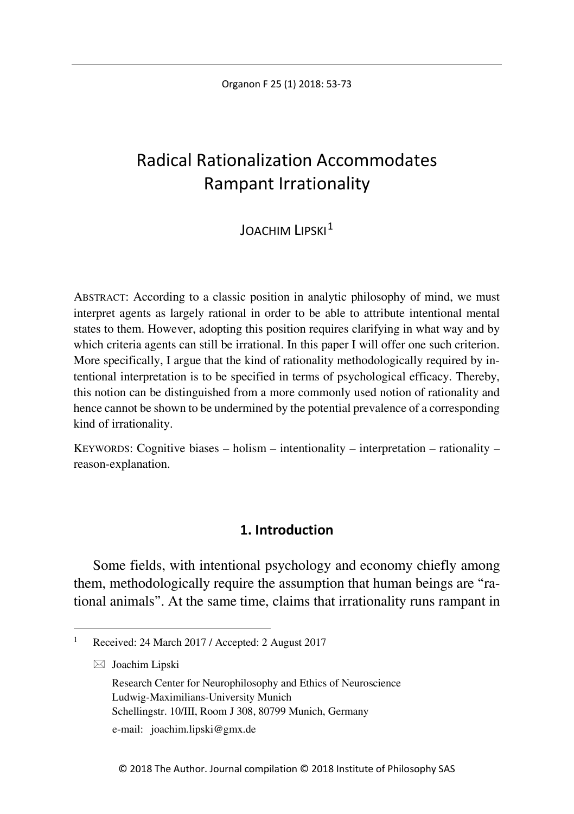Organon F 25 (1) 2018: 53-73

# Radical Rationalization Accommodates Rampant Irrationality

# **JOACHIM LIPSKI**<sup>[1](#page-0-0)</sup>

ABSTRACT: According to a classic position in analytic philosophy of mind, we must interpret agents as largely rational in order to be able to attribute intentional mental states to them. However, adopting this position requires clarifying in what way and by which criteria agents can still be irrational. In this paper I will offer one such criterion. More specifically, I argue that the kind of rationality methodologically required by intentional interpretation is to be specified in terms of psychological efficacy. Thereby, this notion can be distinguished from a more commonly used notion of rationality and hence cannot be shown to be undermined by the potential prevalence of a corresponding kind of irrationality.

KEYWORDS: Cognitive biases – holism – intentionality – interpretation – rationality – reason-explanation.

## **1. Introduction**

Some fields, with intentional psychology and economy chiefly among them, methodologically require the assumption that human beings are "rational animals". At the same time, claims that irrationality runs rampant in

 $\boxtimes$  Joachim Lipski

e-mail: joachim.lipski@gmx.de

<span id="page-0-0"></span> <sup>1</sup> Received: 24 March 2017 / Accepted: 2 August 2017

Research Center for Neurophilosophy and Ethics of Neuroscience Ludwig-Maximilians-University Munich Schellingstr. 10/III, Room J 308, 80799 Munich, Germany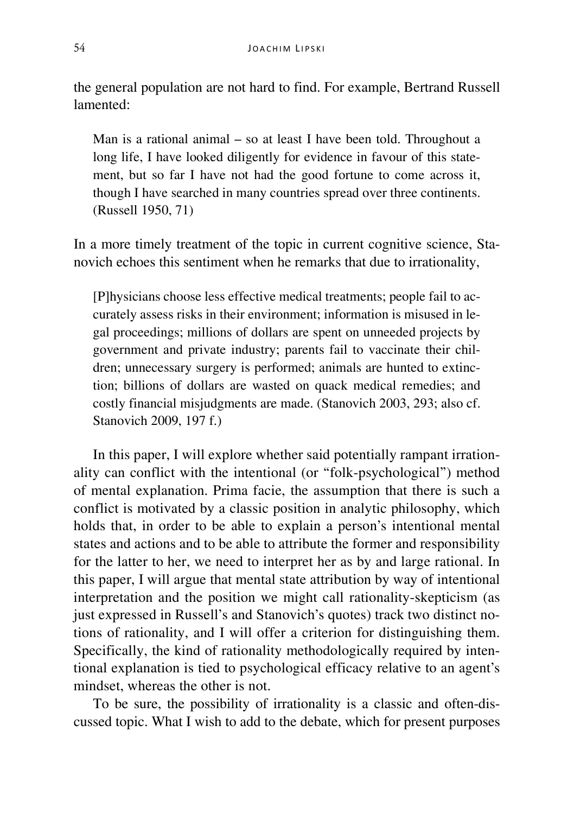the general population are not hard to find. For example, Bertrand Russell lamented:

Man is a rational animal – so at least I have been told. Throughout a long life, I have looked diligently for evidence in favour of this statement, but so far I have not had the good fortune to come across it, though I have searched in many countries spread over three continents. (Russell 1950, 71)

In a more timely treatment of the topic in current cognitive science, Stanovich echoes this sentiment when he remarks that due to irrationality,

[P]hysicians choose less effective medical treatments; people fail to accurately assess risks in their environment; information is misused in legal proceedings; millions of dollars are spent on unneeded projects by government and private industry; parents fail to vaccinate their children; unnecessary surgery is performed; animals are hunted to extinction; billions of dollars are wasted on quack medical remedies; and costly financial misjudgments are made. (Stanovich 2003, 293; also cf. Stanovich 2009, 197 f.)

In this paper, I will explore whether said potentially rampant irrationality can conflict with the intentional (or "folk-psychological") method of mental explanation. Prima facie, the assumption that there is such a conflict is motivated by a classic position in analytic philosophy, which holds that, in order to be able to explain a person's intentional mental states and actions and to be able to attribute the former and responsibility for the latter to her, we need to interpret her as by and large rational. In this paper, I will argue that mental state attribution by way of intentional interpretation and the position we might call rationality-skepticism (as just expressed in Russell's and Stanovich's quotes) track two distinct notions of rationality, and I will offer a criterion for distinguishing them. Specifically, the kind of rationality methodologically required by intentional explanation is tied to psychological efficacy relative to an agent's mindset, whereas the other is not.

To be sure, the possibility of irrationality is a classic and often-discussed topic. What I wish to add to the debate, which for present purposes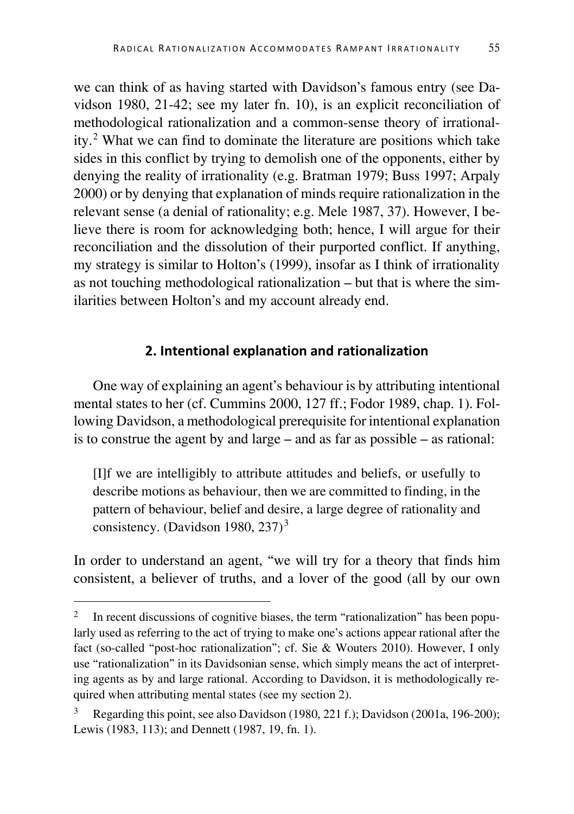we can think of as having started with Davidson's famous entry (see Davidson 1980, 21-42; see my later fn. 10), is an explicit reconciliation of methodological rationalization and a common-sense theory of irrationality.[2](#page-2-0) What we can find to dominate the literature are positions which take sides in this conflict by trying to demolish one of the opponents, either by denying the reality of irrationality (e.g. Bratman 1979; Buss 1997; Arpaly 2000) or by denying that explanation of minds require rationalization in the relevant sense (a denial of rationality; e.g. Mele 1987, 37). However, I believe there is room for acknowledging both; hence, I will argue for their reconciliation and the dissolution of their purported conflict. If anything, my strategy is similar to Holton's (1999), insofar as I think of irrationality as not touching methodological rationalization – but that is where the similarities between Holton's and my account already end.

#### **2. Intentional explanation and rationalization**

One way of explaining an agent's behaviour is by attributing intentional mental states to her (cf. Cummins 2000, 127 ff.; Fodor 1989, chap. 1). Following Davidson, a methodological prerequisite for intentional explanation is to construe the agent by and large – and as far as possible – as rational:

[I]f we are intelligibly to attribute attitudes and beliefs, or usefully to describe motions as behaviour, then we are committed to finding, in the pattern of behaviour, belief and desire, a large degree of rationality and consistency. (Davidson 1980, 2[3](#page-2-1)7)<sup>3</sup>

In order to understand an agent, "we will try for a theory that finds him consistent, a believer of truths, and a lover of the good (all by our own

<span id="page-2-0"></span><sup>&</sup>lt;sup>2</sup> In recent discussions of cognitive biases, the term "rationalization" has been popularly used as referring to the act of trying to make one's actions appear rational after the fact (so-called "post-hoc rationalization"; cf. Sie & Wouters 2010). However, I only use "rationalization" in its Davidsonian sense, which simply means the act of interpreting agents as by and large rational. According to Davidson, it is methodologically required when attributing mental states (see my section 2).

<span id="page-2-1"></span>Regarding this point, see also Davidson (1980, 221 f.); Davidson (2001a, 196-200); Lewis (1983, 113); and Dennett (1987, 19, fn. 1).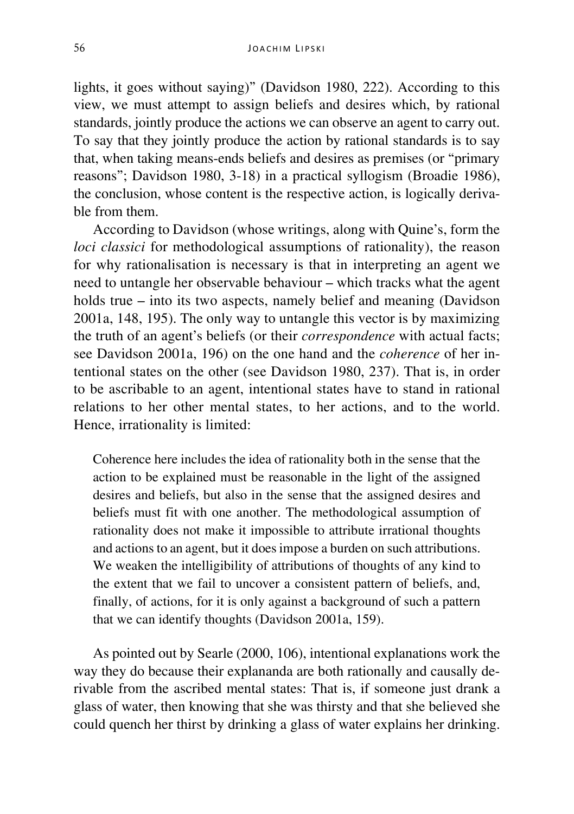lights, it goes without saying)" (Davidson 1980, 222). According to this view, we must attempt to assign beliefs and desires which, by rational standards, jointly produce the actions we can observe an agent to carry out. To say that they jointly produce the action by rational standards is to say that, when taking means-ends beliefs and desires as premises (or "primary reasons"; Davidson 1980, 3-18) in a practical syllogism (Broadie 1986), the conclusion, whose content is the respective action, is logically derivable from them.

According to Davidson (whose writings, along with Quine's, form the *loci classici* for methodological assumptions of rationality), the reason for why rationalisation is necessary is that in interpreting an agent we need to untangle her observable behaviour – which tracks what the agent holds true – into its two aspects, namely belief and meaning (Davidson 2001a, 148, 195). The only way to untangle this vector is by maximizing the truth of an agent's beliefs (or their *correspondence* with actual facts; see Davidson 2001a, 196) on the one hand and the *coherence* of her intentional states on the other (see Davidson 1980, 237). That is, in order to be ascribable to an agent, intentional states have to stand in rational relations to her other mental states, to her actions, and to the world. Hence, irrationality is limited:

Coherence here includes the idea of rationality both in the sense that the action to be explained must be reasonable in the light of the assigned desires and beliefs, but also in the sense that the assigned desires and beliefs must fit with one another. The methodological assumption of rationality does not make it impossible to attribute irrational thoughts and actions to an agent, but it does impose a burden on such attributions. We weaken the intelligibility of attributions of thoughts of any kind to the extent that we fail to uncover a consistent pattern of beliefs, and, finally, of actions, for it is only against a background of such a pattern that we can identify thoughts (Davidson 2001a, 159).

As pointed out by Searle (2000, 106), intentional explanations work the way they do because their explananda are both rationally and causally derivable from the ascribed mental states: That is, if someone just drank a glass of water, then knowing that she was thirsty and that she believed she could quench her thirst by drinking a glass of water explains her drinking.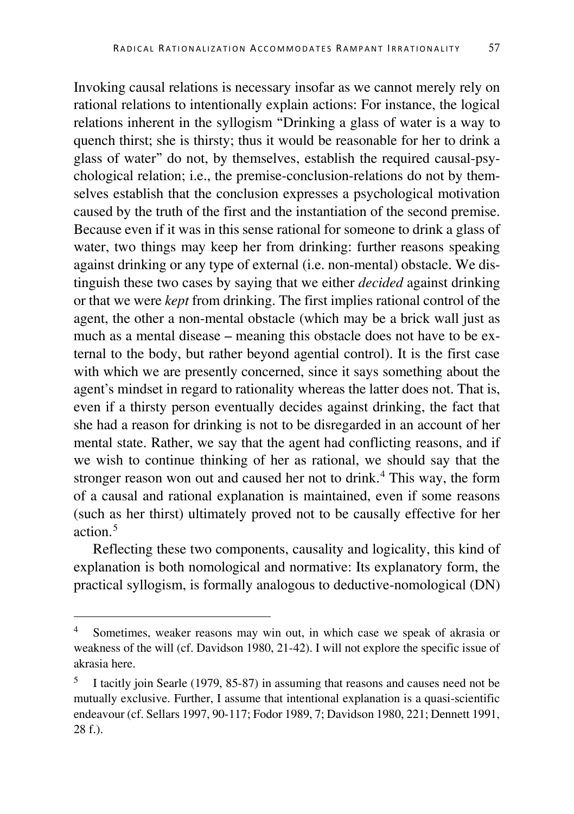Invoking causal relations is necessary insofar as we cannot merely rely on rational relations to intentionally explain actions: For instance, the logical relations inherent in the syllogism "Drinking a glass of water is a way to quench thirst; she is thirsty; thus it would be reasonable for her to drink a glass of water" do not, by themselves, establish the required causal-psychological relation; i.e., the premise-conclusion-relations do not by themselves establish that the conclusion expresses a psychological motivation caused by the truth of the first and the instantiation of the second premise. Because even if it was in this sense rational for someone to drink a glass of water, two things may keep her from drinking: further reasons speaking against drinking or any type of external (i.e. non-mental) obstacle. We distinguish these two cases by saying that we either *decided* against drinking or that we were *kept* from drinking. The first implies rational control of the agent, the other a non-mental obstacle (which may be a brick wall just as much as a mental disease – meaning this obstacle does not have to be external to the body, but rather beyond agential control). It is the first case with which we are presently concerned, since it says something about the agent's mindset in regard to rationality whereas the latter does not. That is, even if a thirsty person eventually decides against drinking, the fact that she had a reason for drinking is not to be disregarded in an account of her mental state. Rather, we say that the agent had conflicting reasons, and if we wish to continue thinking of her as rational, we should say that the stronger reason won out and caused her not to drink.<sup>[4](#page-4-0)</sup> This way, the form of a causal and rational explanation is maintained, even if some reasons (such as her thirst) ultimately proved not to be causally effective for her action. [5](#page-4-1)

Reflecting these two components, causality and logicality, this kind of explanation is both nomological and normative: Its explanatory form, the practical syllogism, is formally analogous to deductive-nomological (DN)

<span id="page-4-0"></span>Sometimes, weaker reasons may win out, in which case we speak of akrasia or weakness of the will (cf. Davidson 1980, 21-42). I will not explore the specific issue of akrasia here.

<span id="page-4-1"></span><sup>5</sup> I tacitly join Searle (1979, 85-87) in assuming that reasons and causes need not be mutually exclusive. Further, I assume that intentional explanation is a quasi-scientific endeavour (cf. Sellars 1997, 90-117; Fodor 1989, 7; Davidson 1980, 221; Dennett 1991, 28 f.).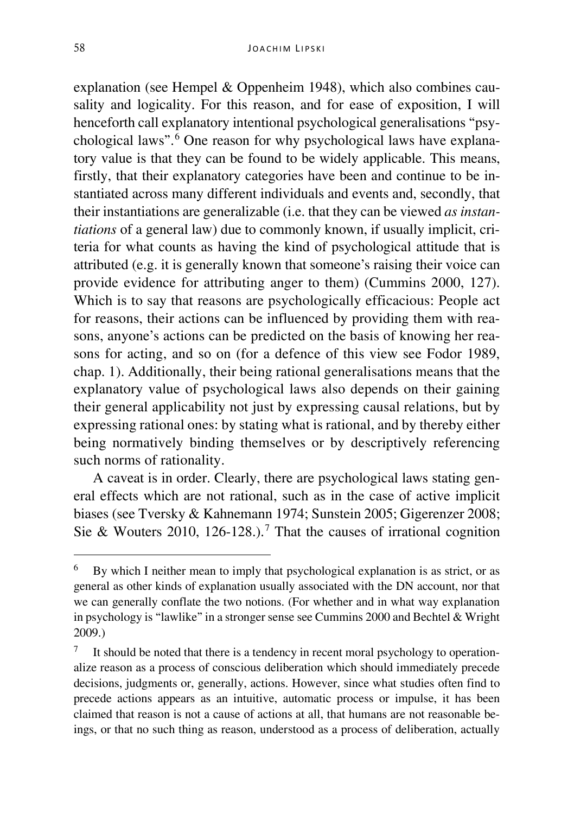explanation (see Hempel & Oppenheim 1948), which also combines causality and logicality. For this reason, and for ease of exposition, I will henceforth call explanatory intentional psychological generalisations "psychological laws".[6](#page-5-0) One reason for why psychological laws have explanatory value is that they can be found to be widely applicable. This means, firstly, that their explanatory categories have been and continue to be instantiated across many different individuals and events and, secondly, that their instantiations are generalizable (i.e. that they can be viewed *as instantiations* of a general law) due to commonly known, if usually implicit, criteria for what counts as having the kind of psychological attitude that is attributed (e.g. it is generally known that someone's raising their voice can provide evidence for attributing anger to them) (Cummins 2000, 127). Which is to say that reasons are psychologically efficacious: People act for reasons, their actions can be influenced by providing them with reasons, anyone's actions can be predicted on the basis of knowing her reasons for acting, and so on (for a defence of this view see Fodor 1989, chap. 1). Additionally, their being rational generalisations means that the explanatory value of psychological laws also depends on their gaining their general applicability not just by expressing causal relations, but by expressing rational ones: by stating what is rational, and by thereby either being normatively binding themselves or by descriptively referencing such norms of rationality.

A caveat is in order. Clearly, there are psychological laws stating general effects which are not rational, such as in the case of active implicit biases (see Tversky & Kahnemann 1974; Sunstein 2005; Gigerenzer 2008; Sie & Wouters 2010, 126-128.).<sup>[7](#page-5-1)</sup> That the causes of irrational cognition

<span id="page-5-0"></span> <sup>6</sup> By which I neither mean to imply that psychological explanation is as strict, or as general as other kinds of explanation usually associated with the DN account, nor that we can generally conflate the two notions. (For whether and in what way explanation in psychology is "lawlike" in a stronger sense see Cummins 2000 and Bechtel & Wright 2009.)

<span id="page-5-1"></span><sup>7</sup> It should be noted that there is a tendency in recent moral psychology to operationalize reason as a process of conscious deliberation which should immediately precede decisions, judgments or, generally, actions. However, since what studies often find to precede actions appears as an intuitive, automatic process or impulse, it has been claimed that reason is not a cause of actions at all, that humans are not reasonable beings, or that no such thing as reason, understood as a process of deliberation, actually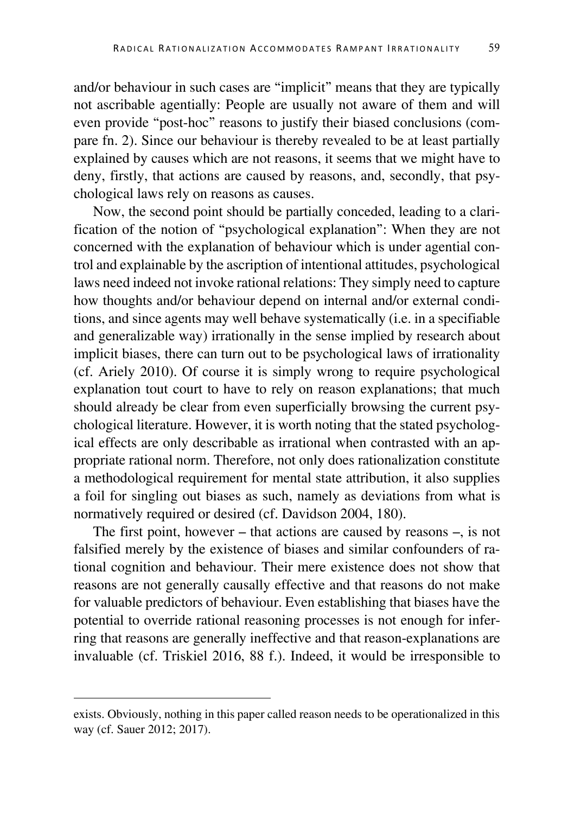and/or behaviour in such cases are "implicit" means that they are typically not ascribable agentially: People are usually not aware of them and will even provide "post-hoc" reasons to justify their biased conclusions (compare fn. 2). Since our behaviour is thereby revealed to be at least partially explained by causes which are not reasons, it seems that we might have to deny, firstly, that actions are caused by reasons, and, secondly, that psychological laws rely on reasons as causes.

Now, the second point should be partially conceded, leading to a clarification of the notion of "psychological explanation": When they are not concerned with the explanation of behaviour which is under agential control and explainable by the ascription of intentional attitudes, psychological laws need indeed not invoke rational relations: They simply need to capture how thoughts and/or behaviour depend on internal and/or external conditions, and since agents may well behave systematically (i.e. in a specifiable and generalizable way) irrationally in the sense implied by research about implicit biases, there can turn out to be psychological laws of irrationality (cf. Ariely 2010). Of course it is simply wrong to require psychological explanation tout court to have to rely on reason explanations; that much should already be clear from even superficially browsing the current psychological literature. However, it is worth noting that the stated psychological effects are only describable as irrational when contrasted with an appropriate rational norm. Therefore, not only does rationalization constitute a methodological requirement for mental state attribution, it also supplies a foil for singling out biases as such, namely as deviations from what is normatively required or desired (cf. Davidson 2004, 180).

The first point, however – that actions are caused by reasons –, is not falsified merely by the existence of biases and similar confounders of rational cognition and behaviour. Their mere existence does not show that reasons are not generally causally effective and that reasons do not make for valuable predictors of behaviour. Even establishing that biases have the potential to override rational reasoning processes is not enough for inferring that reasons are generally ineffective and that reason-explanations are invaluable (cf. Triskiel 2016, 88 f.). Indeed, it would be irresponsible to

exists. Obviously, nothing in this paper called reason needs to be operationalized in this way (cf. Sauer 2012; 2017).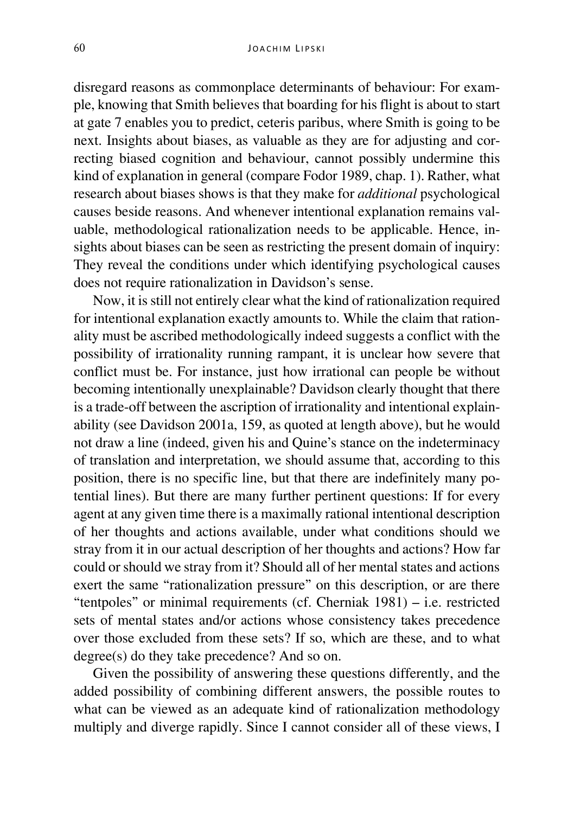disregard reasons as commonplace determinants of behaviour: For example, knowing that Smith believes that boarding for his flight is about to start at gate 7 enables you to predict, ceteris paribus, where Smith is going to be next. Insights about biases, as valuable as they are for adjusting and correcting biased cognition and behaviour, cannot possibly undermine this kind of explanation in general (compare Fodor 1989, chap. 1). Rather, what research about biases shows is that they make for *additional* psychological causes beside reasons. And whenever intentional explanation remains valuable, methodological rationalization needs to be applicable. Hence, insights about biases can be seen as restricting the present domain of inquiry: They reveal the conditions under which identifying psychological causes does not require rationalization in Davidson's sense.

Now, it is still not entirely clear what the kind of rationalization required for intentional explanation exactly amounts to. While the claim that rationality must be ascribed methodologically indeed suggests a conflict with the possibility of irrationality running rampant, it is unclear how severe that conflict must be. For instance, just how irrational can people be without becoming intentionally unexplainable? Davidson clearly thought that there is a trade-off between the ascription of irrationality and intentional explainability (see Davidson 2001a, 159, as quoted at length above), but he would not draw a line (indeed, given his and Quine's stance on the indeterminacy of translation and interpretation, we should assume that, according to this position, there is no specific line, but that there are indefinitely many potential lines). But there are many further pertinent questions: If for every agent at any given time there is a maximally rational intentional description of her thoughts and actions available, under what conditions should we stray from it in our actual description of her thoughts and actions? How far could or should we stray from it? Should all of her mental states and actions exert the same "rationalization pressure" on this description, or are there "tentpoles" or minimal requirements (cf. Cherniak 1981) – i.e. restricted sets of mental states and/or actions whose consistency takes precedence over those excluded from these sets? If so, which are these, and to what degree(s) do they take precedence? And so on.

Given the possibility of answering these questions differently, and the added possibility of combining different answers, the possible routes to what can be viewed as an adequate kind of rationalization methodology multiply and diverge rapidly. Since I cannot consider all of these views, I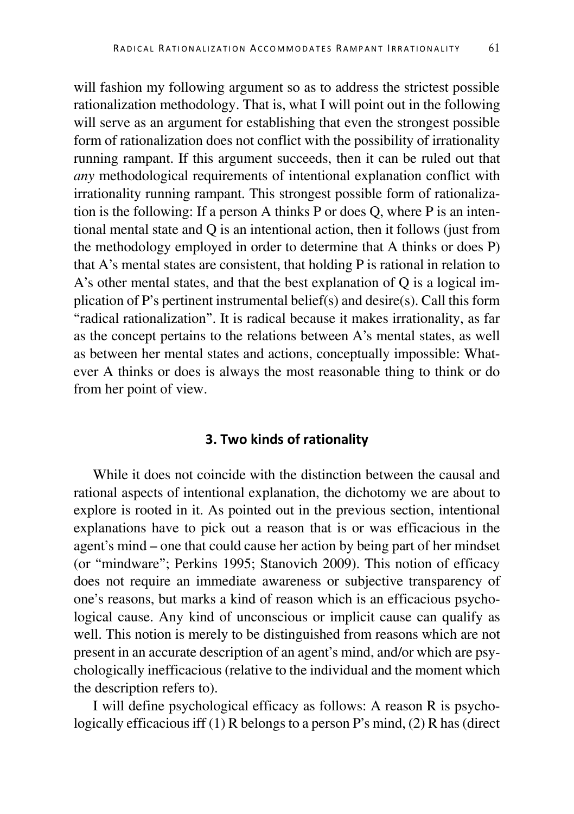will fashion my following argument so as to address the strictest possible rationalization methodology. That is, what I will point out in the following will serve as an argument for establishing that even the strongest possible form of rationalization does not conflict with the possibility of irrationality running rampant. If this argument succeeds, then it can be ruled out that *any* methodological requirements of intentional explanation conflict with irrationality running rampant. This strongest possible form of rationalization is the following: If a person A thinks P or does Q, where P is an intentional mental state and Q is an intentional action, then it follows (just from the methodology employed in order to determine that A thinks or does P) that A's mental states are consistent, that holding P is rational in relation to A's other mental states, and that the best explanation of Q is a logical implication of P's pertinent instrumental belief(s) and desire(s). Call this form "radical rationalization". It is radical because it makes irrationality, as far as the concept pertains to the relations between A's mental states, as well as between her mental states and actions, conceptually impossible: Whatever A thinks or does is always the most reasonable thing to think or do from her point of view.

#### **3. Two kinds of rationality**

While it does not coincide with the distinction between the causal and rational aspects of intentional explanation, the dichotomy we are about to explore is rooted in it. As pointed out in the previous section, intentional explanations have to pick out a reason that is or was efficacious in the agent's mind – one that could cause her action by being part of her mindset (or "mindware"; Perkins 1995; Stanovich 2009). This notion of efficacy does not require an immediate awareness or subjective transparency of one's reasons, but marks a kind of reason which is an efficacious psychological cause. Any kind of unconscious or implicit cause can qualify as well. This notion is merely to be distinguished from reasons which are not present in an accurate description of an agent's mind, and/or which are psychologically inefficacious (relative to the individual and the moment which the description refers to).

I will define psychological efficacy as follows: A reason R is psychologically efficacious iff (1) R belongs to a person P's mind, (2) R has (direct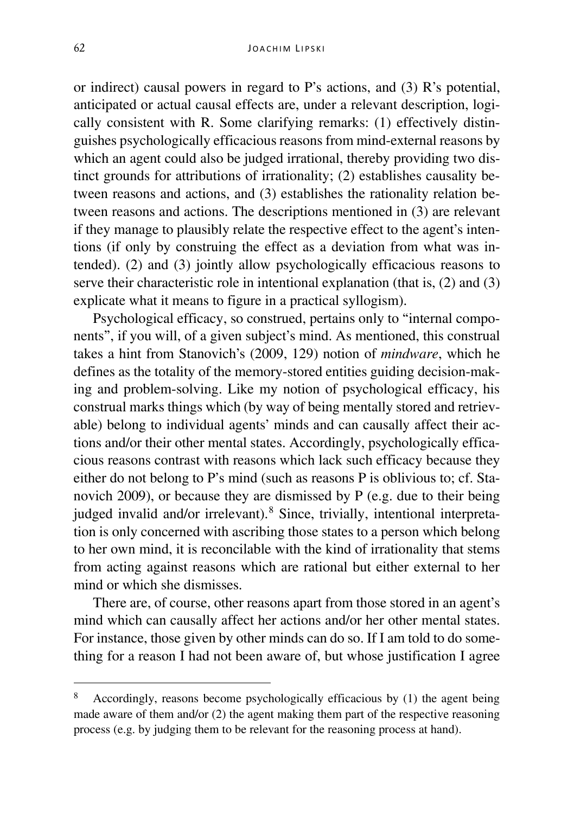or indirect) causal powers in regard to P's actions, and (3) R's potential, anticipated or actual causal effects are, under a relevant description, logically consistent with R. Some clarifying remarks: (1) effectively distinguishes psychologically efficacious reasons from mind-external reasons by which an agent could also be judged irrational, thereby providing two distinct grounds for attributions of irrationality; (2) establishes causality between reasons and actions, and (3) establishes the rationality relation between reasons and actions. The descriptions mentioned in (3) are relevant if they manage to plausibly relate the respective effect to the agent's intentions (if only by construing the effect as a deviation from what was intended). (2) and (3) jointly allow psychologically efficacious reasons to serve their characteristic role in intentional explanation (that is, (2) and (3) explicate what it means to figure in a practical syllogism).

Psychological efficacy, so construed, pertains only to "internal components", if you will, of a given subject's mind. As mentioned, this construal takes a hint from Stanovich's (2009, 129) notion of *mindware*, which he defines as the totality of the memory-stored entities guiding decision-making and problem-solving. Like my notion of psychological efficacy, his construal marks things which (by way of being mentally stored and retrievable) belong to individual agents' minds and can causally affect their actions and/or their other mental states. Accordingly, psychologically efficacious reasons contrast with reasons which lack such efficacy because they either do not belong to P's mind (such as reasons P is oblivious to; cf. Stanovich 2009), or because they are dismissed by P (e.g. due to their being judged invalid and/or irrelevant).<sup>[8](#page-9-0)</sup> Since, trivially, intentional interpretation is only concerned with ascribing those states to a person which belong to her own mind, it is reconcilable with the kind of irrationality that stems from acting against reasons which are rational but either external to her mind or which she dismisses.

There are, of course, other reasons apart from those stored in an agent's mind which can causally affect her actions and/or her other mental states. For instance, those given by other minds can do so. If I am told to do something for a reason I had not been aware of, but whose justification I agree

<span id="page-9-0"></span> <sup>8</sup> Accordingly, reasons become psychologically efficacious by (1) the agent being made aware of them and/or (2) the agent making them part of the respective reasoning process (e.g. by judging them to be relevant for the reasoning process at hand).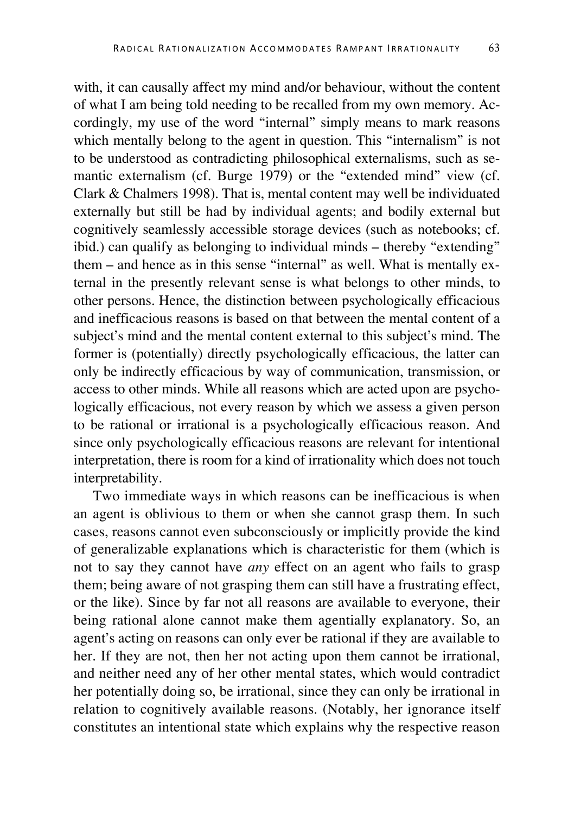with, it can causally affect my mind and/or behaviour, without the content of what I am being told needing to be recalled from my own memory. Accordingly, my use of the word "internal" simply means to mark reasons which mentally belong to the agent in question. This "internalism" is not to be understood as contradicting philosophical externalisms, such as semantic externalism (cf. Burge 1979) or the "extended mind" view (cf. Clark & Chalmers 1998). That is, mental content may well be individuated externally but still be had by individual agents; and bodily external but cognitively seamlessly accessible storage devices (such as notebooks; cf. ibid.) can qualify as belonging to individual minds – thereby "extending" them – and hence as in this sense "internal" as well. What is mentally external in the presently relevant sense is what belongs to other minds, to other persons. Hence, the distinction between psychologically efficacious and inefficacious reasons is based on that between the mental content of a subject's mind and the mental content external to this subject's mind. The former is (potentially) directly psychologically efficacious, the latter can only be indirectly efficacious by way of communication, transmission, or access to other minds. While all reasons which are acted upon are psychologically efficacious, not every reason by which we assess a given person to be rational or irrational is a psychologically efficacious reason. And since only psychologically efficacious reasons are relevant for intentional interpretation, there is room for a kind of irrationality which does not touch interpretability.

Two immediate ways in which reasons can be inefficacious is when an agent is oblivious to them or when she cannot grasp them. In such cases, reasons cannot even subconsciously or implicitly provide the kind of generalizable explanations which is characteristic for them (which is not to say they cannot have *any* effect on an agent who fails to grasp them; being aware of not grasping them can still have a frustrating effect, or the like). Since by far not all reasons are available to everyone, their being rational alone cannot make them agentially explanatory. So, an agent's acting on reasons can only ever be rational if they are available to her. If they are not, then her not acting upon them cannot be irrational, and neither need any of her other mental states, which would contradict her potentially doing so, be irrational, since they can only be irrational in relation to cognitively available reasons. (Notably, her ignorance itself constitutes an intentional state which explains why the respective reason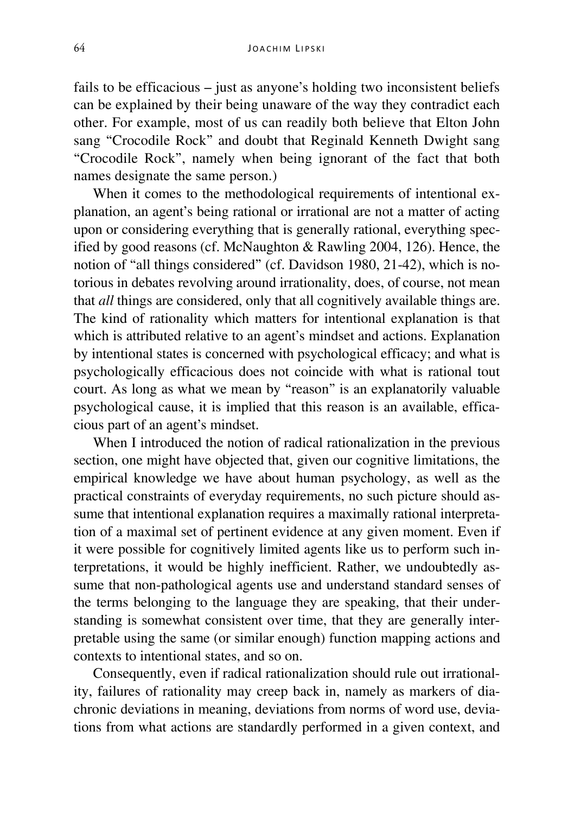fails to be efficacious – just as anyone's holding two inconsistent beliefs can be explained by their being unaware of the way they contradict each other. For example, most of us can readily both believe that Elton John sang "Crocodile Rock" and doubt that Reginald Kenneth Dwight sang "Crocodile Rock", namely when being ignorant of the fact that both names designate the same person.)

When it comes to the methodological requirements of intentional explanation, an agent's being rational or irrational are not a matter of acting upon or considering everything that is generally rational, everything specified by good reasons (cf. McNaughton & Rawling 2004, 126). Hence, the notion of "all things considered" (cf. Davidson 1980, 21-42), which is notorious in debates revolving around irrationality, does, of course, not mean that *all* things are considered, only that all cognitively available things are. The kind of rationality which matters for intentional explanation is that which is attributed relative to an agent's mindset and actions. Explanation by intentional states is concerned with psychological efficacy; and what is psychologically efficacious does not coincide with what is rational tout court. As long as what we mean by "reason" is an explanatorily valuable psychological cause, it is implied that this reason is an available, efficacious part of an agent's mindset.

When I introduced the notion of radical rationalization in the previous section, one might have objected that, given our cognitive limitations, the empirical knowledge we have about human psychology, as well as the practical constraints of everyday requirements, no such picture should assume that intentional explanation requires a maximally rational interpretation of a maximal set of pertinent evidence at any given moment. Even if it were possible for cognitively limited agents like us to perform such interpretations, it would be highly inefficient. Rather, we undoubtedly assume that non-pathological agents use and understand standard senses of the terms belonging to the language they are speaking, that their understanding is somewhat consistent over time, that they are generally interpretable using the same (or similar enough) function mapping actions and contexts to intentional states, and so on.

Consequently, even if radical rationalization should rule out irrationality, failures of rationality may creep back in, namely as markers of diachronic deviations in meaning, deviations from norms of word use, deviations from what actions are standardly performed in a given context, and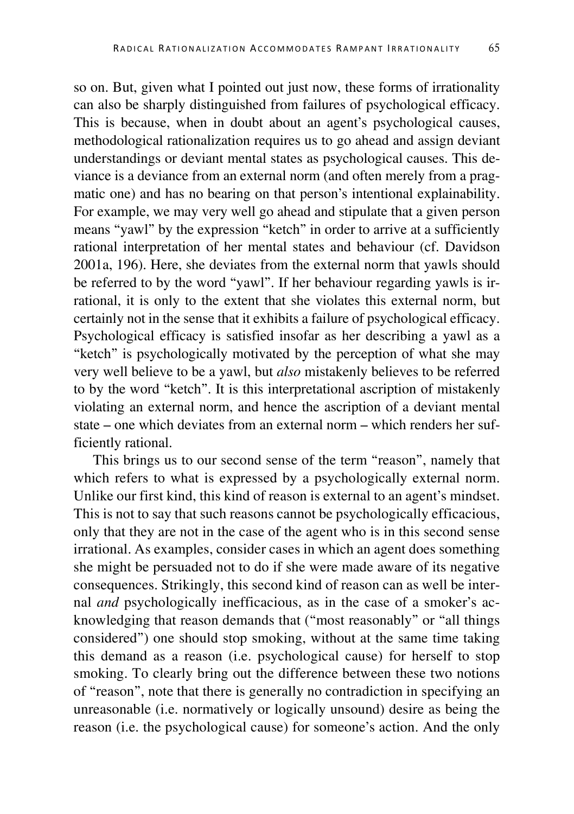so on. But, given what I pointed out just now, these forms of irrationality can also be sharply distinguished from failures of psychological efficacy. This is because, when in doubt about an agent's psychological causes, methodological rationalization requires us to go ahead and assign deviant understandings or deviant mental states as psychological causes. This deviance is a deviance from an external norm (and often merely from a pragmatic one) and has no bearing on that person's intentional explainability. For example, we may very well go ahead and stipulate that a given person means "yawl" by the expression "ketch" in order to arrive at a sufficiently rational interpretation of her mental states and behaviour (cf. Davidson 2001a, 196). Here, she deviates from the external norm that yawls should be referred to by the word "yawl". If her behaviour regarding yawls is irrational, it is only to the extent that she violates this external norm, but certainly not in the sense that it exhibits a failure of psychological efficacy. Psychological efficacy is satisfied insofar as her describing a yawl as a "ketch" is psychologically motivated by the perception of what she may very well believe to be a yawl, but *also* mistakenly believes to be referred to by the word "ketch". It is this interpretational ascription of mistakenly violating an external norm, and hence the ascription of a deviant mental state – one which deviates from an external norm – which renders her sufficiently rational.

This brings us to our second sense of the term "reason", namely that which refers to what is expressed by a psychologically external norm. Unlike our first kind, this kind of reason is external to an agent's mindset. This is not to say that such reasons cannot be psychologically efficacious, only that they are not in the case of the agent who is in this second sense irrational. As examples, consider cases in which an agent does something she might be persuaded not to do if she were made aware of its negative consequences. Strikingly, this second kind of reason can as well be internal *and* psychologically inefficacious, as in the case of a smoker's acknowledging that reason demands that ("most reasonably" or "all things considered") one should stop smoking, without at the same time taking this demand as a reason (i.e. psychological cause) for herself to stop smoking. To clearly bring out the difference between these two notions of "reason", note that there is generally no contradiction in specifying an unreasonable (i.e. normatively or logically unsound) desire as being the reason (i.e. the psychological cause) for someone's action. And the only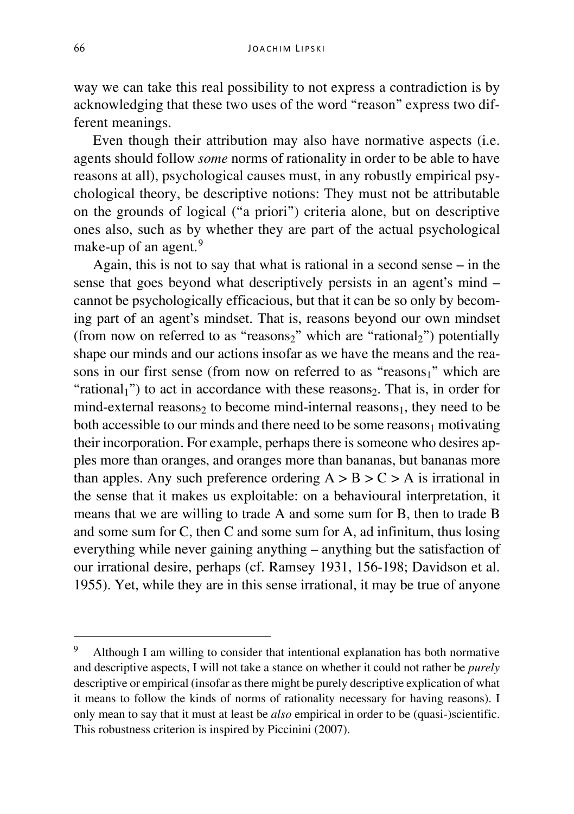way we can take this real possibility to not express a contradiction is by acknowledging that these two uses of the word "reason" express two different meanings.

Even though their attribution may also have normative aspects (i.e. agents should follow *some* norms of rationality in order to be able to have reasons at all), psychological causes must, in any robustly empirical psychological theory, be descriptive notions: They must not be attributable on the grounds of logical ("a priori") criteria alone, but on descriptive ones also, such as by whether they are part of the actual psychological make-up of an agent.<sup>[9](#page-13-0)</sup>

Again, this is not to say that what is rational in a second sense – in the sense that goes beyond what descriptively persists in an agent's mind – cannot be psychologically efficacious, but that it can be so only by becoming part of an agent's mindset. That is, reasons beyond our own mindset (from now on referred to as "reasons<sub>2</sub>" which are "rational<sub>2</sub>") potentially shape our minds and our actions insofar as we have the means and the reasons in our first sense (from now on referred to as "reasons1" which are "rational<sub>1</sub>") to act in accordance with these reasons<sub>2</sub>. That is, in order for mind-external reasons<sub>2</sub> to become mind-internal reasons<sub>1</sub>, they need to be both accessible to our minds and there need to be some reasons $_1$  motivating their incorporation. For example, perhaps there is someone who desires apples more than oranges, and oranges more than bananas, but bananas more than apples. Any such preference ordering  $A > B > C > A$  is irrational in the sense that it makes us exploitable: on a behavioural interpretation, it means that we are willing to trade A and some sum for B, then to trade B and some sum for C, then C and some sum for A, ad infinitum, thus losing everything while never gaining anything – anything but the satisfaction of our irrational desire, perhaps (cf. Ramsey 1931, 156-198; Davidson et al. 1955). Yet, while they are in this sense irrational, it may be true of anyone

<span id="page-13-0"></span> <sup>9</sup> Although I am willing to consider that intentional explanation has both normative and descriptive aspects, I will not take a stance on whether it could not rather be *purely* descriptive or empirical (insofar as there might be purely descriptive explication of what it means to follow the kinds of norms of rationality necessary for having reasons). I only mean to say that it must at least be *also* empirical in order to be (quasi-)scientific. This robustness criterion is inspired by Piccinini (2007).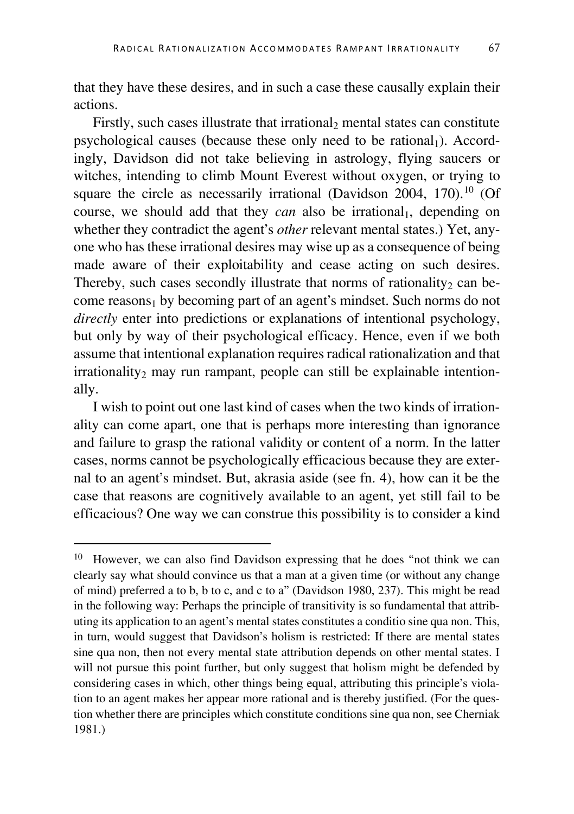that they have these desires, and in such a case these causally explain their actions.

Firstly, such cases illustrate that irrational, mental states can constitute psychological causes (because these only need to be rational<sub>1</sub>). Accordingly, Davidson did not take believing in astrology, flying saucers or witches, intending to climb Mount Everest without oxygen, or trying to square the circle as necessarily irrational (Davidson 2004, 170).<sup>[10](#page-14-0)</sup> (Of course, we should add that they *can* also be irrational<sub>1</sub>, depending on whether they contradict the agent's *other* relevant mental states.) Yet, anyone who has these irrational desires may wise up as a consequence of being made aware of their exploitability and cease acting on such desires. Thereby, such cases secondly illustrate that norms of rationality<sub>2</sub> can become reasons<sub>1</sub> by becoming part of an agent's mindset. Such norms do not *directly* enter into predictions or explanations of intentional psychology, but only by way of their psychological efficacy. Hence, even if we both assume that intentional explanation requires radical rationalization and that  $irrationality<sub>2</sub>$  may run rampant, people can still be explainable intentionally.

I wish to point out one last kind of cases when the two kinds of irrationality can come apart, one that is perhaps more interesting than ignorance and failure to grasp the rational validity or content of a norm. In the latter cases, norms cannot be psychologically efficacious because they are external to an agent's mindset. But, akrasia aside (see fn. 4), how can it be the case that reasons are cognitively available to an agent, yet still fail to be efficacious? One way we can construe this possibility is to consider a kind

<span id="page-14-0"></span> <sup>10</sup> However, we can also find Davidson expressing that he does "not think we can clearly say what should convince us that a man at a given time (or without any change of mind) preferred a to b, b to c, and c to a" (Davidson 1980, 237). This might be read in the following way: Perhaps the principle of transitivity is so fundamental that attributing its application to an agent's mental states constitutes a conditio sine qua non. This, in turn, would suggest that Davidson's holism is restricted: If there are mental states sine qua non, then not every mental state attribution depends on other mental states. I will not pursue this point further, but only suggest that holism might be defended by considering cases in which, other things being equal, attributing this principle's violation to an agent makes her appear more rational and is thereby justified. (For the question whether there are principles which constitute conditions sine qua non, see Cherniak 1981.)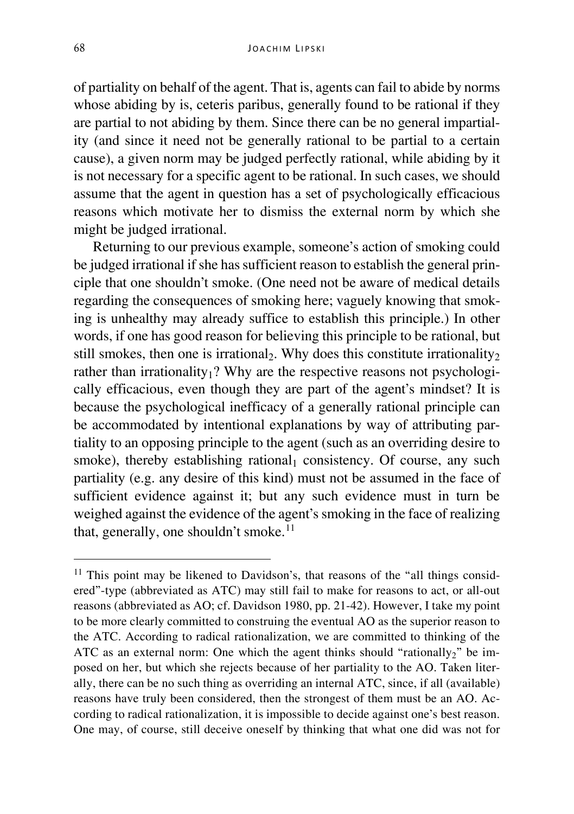of partiality on behalf of the agent. That is, agents can fail to abide by norms whose abiding by is, ceteris paribus, generally found to be rational if they are partial to not abiding by them. Since there can be no general impartiality (and since it need not be generally rational to be partial to a certain cause), a given norm may be judged perfectly rational, while abiding by it is not necessary for a specific agent to be rational. In such cases, we should assume that the agent in question has a set of psychologically efficacious reasons which motivate her to dismiss the external norm by which she might be judged irrational.

Returning to our previous example, someone's action of smoking could be judged irrational if she has sufficient reason to establish the general principle that one shouldn't smoke. (One need not be aware of medical details regarding the consequences of smoking here; vaguely knowing that smoking is unhealthy may already suffice to establish this principle.) In other words, if one has good reason for believing this principle to be rational, but still smokes, then one is irrational<sub>2</sub>. Why does this constitute irrationality<sub>2</sub> rather than irrationality<sub>1</sub>? Why are the respective reasons not psychologically efficacious, even though they are part of the agent's mindset? It is because the psychological inefficacy of a generally rational principle can be accommodated by intentional explanations by way of attributing partiality to an opposing principle to the agent (such as an overriding desire to smoke), thereby establishing rational<sub>1</sub> consistency. Of course, any such partiality (e.g. any desire of this kind) must not be assumed in the face of sufficient evidence against it; but any such evidence must in turn be weighed against the evidence of the agent's smoking in the face of realizing that, generally, one shouldn't smoke. $11$ 

<span id="page-15-0"></span> $11$  This point may be likened to Davidson's, that reasons of the "all things considered"-type (abbreviated as ATC) may still fail to make for reasons to act, or all-out reasons (abbreviated as AO; cf. Davidson 1980, pp. 21-42). However, I take my point to be more clearly committed to construing the eventual AO as the superior reason to the ATC. According to radical rationalization, we are committed to thinking of the ATC as an external norm: One which the agent thinks should "rationally<sub>2</sub>" be imposed on her, but which she rejects because of her partiality to the AO. Taken literally, there can be no such thing as overriding an internal ATC, since, if all (available) reasons have truly been considered, then the strongest of them must be an AO. According to radical rationalization, it is impossible to decide against one's best reason. One may, of course, still deceive oneself by thinking that what one did was not for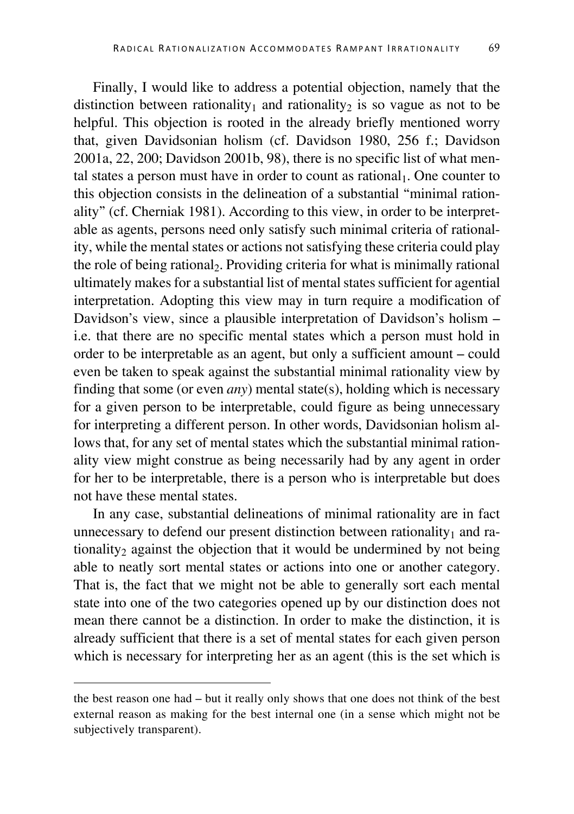Finally, I would like to address a potential objection, namely that the distinction between rationality<sub>1</sub> and rationality<sub>2</sub> is so vague as not to be helpful. This objection is rooted in the already briefly mentioned worry that, given Davidsonian holism (cf. Davidson 1980, 256 f.; Davidson 2001a, 22, 200; Davidson 2001b, 98), there is no specific list of what mental states a person must have in order to count as rational<sub>1</sub>. One counter to this objection consists in the delineation of a substantial "minimal rationality" (cf. Cherniak 1981). According to this view, in order to be interpretable as agents, persons need only satisfy such minimal criteria of rationality, while the mental states or actions not satisfying these criteria could play the role of being rational. Providing criteria for what is minimally rational ultimately makes for a substantial list of mental states sufficient for agential interpretation. Adopting this view may in turn require a modification of Davidson's view, since a plausible interpretation of Davidson's holism – i.e. that there are no specific mental states which a person must hold in order to be interpretable as an agent, but only a sufficient amount – could even be taken to speak against the substantial minimal rationality view by finding that some (or even *any*) mental state(s), holding which is necessary for a given person to be interpretable, could figure as being unnecessary for interpreting a different person. In other words, Davidsonian holism allows that, for any set of mental states which the substantial minimal rationality view might construe as being necessarily had by any agent in order for her to be interpretable, there is a person who is interpretable but does not have these mental states.

In any case, substantial delineations of minimal rationality are in fact unnecessary to defend our present distinction between rationality $<sub>1</sub>$  and ra-</sub> tionality<sub>2</sub> against the objection that it would be undermined by not being able to neatly sort mental states or actions into one or another category. That is, the fact that we might not be able to generally sort each mental state into one of the two categories opened up by our distinction does not mean there cannot be a distinction. In order to make the distinction, it is already sufficient that there is a set of mental states for each given person which is necessary for interpreting her as an agent (this is the set which is

the best reason one had – but it really only shows that one does not think of the best external reason as making for the best internal one (in a sense which might not be subjectively transparent).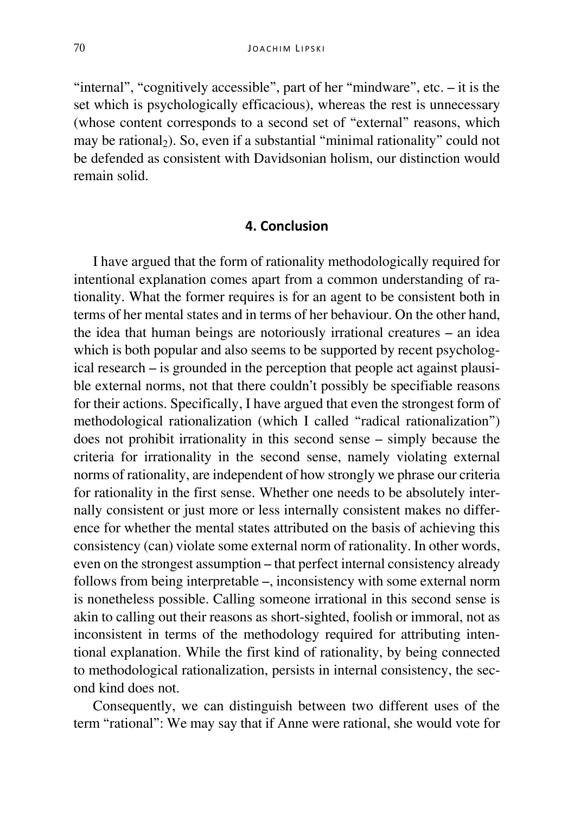"internal", "cognitively accessible", part of her "mindware", etc. – it is the set which is psychologically efficacious), whereas the rest is unnecessary (whose content corresponds to a second set of "external" reasons, which may be rational $<sub>2</sub>$ ). So, even if a substantial "minimal rationality" could not</sub> be defended as consistent with Davidsonian holism, our distinction would remain solid.

### **4. Conclusion**

I have argued that the form of rationality methodologically required for intentional explanation comes apart from a common understanding of rationality. What the former requires is for an agent to be consistent both in terms of her mental states and in terms of her behaviour. On the other hand, the idea that human beings are notoriously irrational creatures – an idea which is both popular and also seems to be supported by recent psychological research – is grounded in the perception that people act against plausible external norms, not that there couldn't possibly be specifiable reasons for their actions. Specifically, I have argued that even the strongest form of methodological rationalization (which I called "radical rationalization") does not prohibit irrationality in this second sense – simply because the criteria for irrationality in the second sense, namely violating external norms of rationality, are independent of how strongly we phrase our criteria for rationality in the first sense. Whether one needs to be absolutely internally consistent or just more or less internally consistent makes no difference for whether the mental states attributed on the basis of achieving this consistency (can) violate some external norm of rationality. In other words, even on the strongest assumption – that perfect internal consistency already follows from being interpretable –, inconsistency with some external norm is nonetheless possible. Calling someone irrational in this second sense is akin to calling out their reasons as short-sighted, foolish or immoral, not as inconsistent in terms of the methodology required for attributing intentional explanation. While the first kind of rationality, by being connected to methodological rationalization, persists in internal consistency, the second kind does not.

Consequently, we can distinguish between two different uses of the term "rational": We may say that if Anne were rational, she would vote for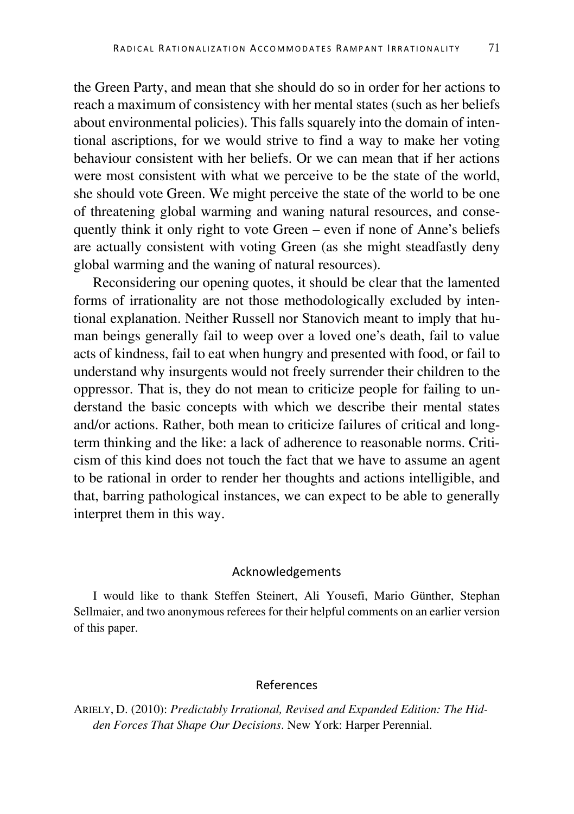the Green Party, and mean that she should do so in order for her actions to reach a maximum of consistency with her mental states (such as her beliefs about environmental policies). This falls squarely into the domain of intentional ascriptions, for we would strive to find a way to make her voting behaviour consistent with her beliefs. Or we can mean that if her actions were most consistent with what we perceive to be the state of the world, she should vote Green. We might perceive the state of the world to be one of threatening global warming and waning natural resources, and consequently think it only right to vote Green – even if none of Anne's beliefs are actually consistent with voting Green (as she might steadfastly deny global warming and the waning of natural resources).

Reconsidering our opening quotes, it should be clear that the lamented forms of irrationality are not those methodologically excluded by intentional explanation. Neither Russell nor Stanovich meant to imply that human beings generally fail to weep over a loved one's death, fail to value acts of kindness, fail to eat when hungry and presented with food, or fail to understand why insurgents would not freely surrender their children to the oppressor. That is, they do not mean to criticize people for failing to understand the basic concepts with which we describe their mental states and/or actions. Rather, both mean to criticize failures of critical and longterm thinking and the like: a lack of adherence to reasonable norms. Criticism of this kind does not touch the fact that we have to assume an agent to be rational in order to render her thoughts and actions intelligible, and that, barring pathological instances, we can expect to be able to generally interpret them in this way.

#### Acknowledgements

I would like to thank Steffen Steinert, Ali Yousefi, Mario Günther, Stephan Sellmaier, and two anonymous referees for their helpful comments on an earlier version of this paper.

#### References

ARIELY, D. (2010): *Predictably Irrational, Revised and Expanded Edition: The Hidden Forces That Shape Our Decisions*. New York: Harper Perennial.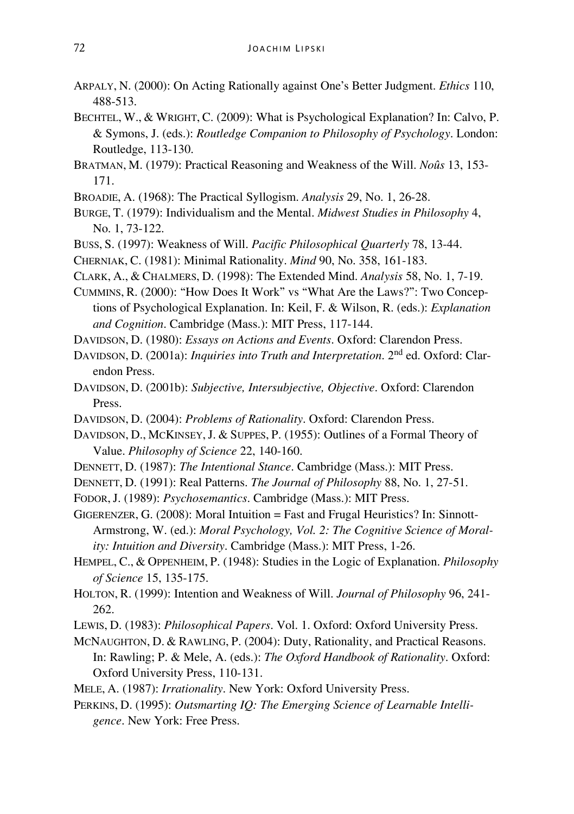- ARPALY, N. (2000): On Acting Rationally against One's Better Judgment. *Ethics* 110, 488-513.
- BECHTEL, W., & WRIGHT, C. (2009): What is Psychological Explanation? In: Calvo, P. & Symons, J. (eds.): *Routledge Companion to Philosophy of Psychology*. London: Routledge, 113-130.
- BRATMAN, M. (1979): Practical Reasoning and Weakness of the Will. *Noûs* 13, 153- 171.
- BROADIE, A. (1968): The Practical Syllogism. *Analysis* 29, No. 1, 26-28.
- BURGE, T. (1979): Individualism and the Mental. *Midwest Studies in Philosophy* 4, No. 1, 73-122.
- BUSS, S. (1997): Weakness of Will. *Pacific Philosophical Quarterly* 78, 13-44.
- CHERNIAK, C. (1981): Minimal Rationality. *Mind* 90, No. 358, 161-183.
- CLARK, A., & CHALMERS, D. (1998): The Extended Mind. *Analysis* 58, No. 1, 7-19.
- CUMMINS, R. (2000): "How Does It Work" vs "What Are the Laws?": Two Conceptions of Psychological Explanation. In: Keil, F. & Wilson, R. (eds.): *Explanation and Cognition*. Cambridge (Mass.): MIT Press, 117-144.
- DAVIDSON, D. (1980): *Essays on Actions and Events*. Oxford: Clarendon Press.
- DAVIDSON, D. (2001a): *Inquiries into Truth and Interpretation*. 2nd ed. Oxford: Clarendon Press.
- DAVIDSON, D. (2001b): *Subjective, Intersubjective, Objective*. Oxford: Clarendon Press.
- DAVIDSON, D. (2004): *Problems of Rationality*. Oxford: Clarendon Press.
- DAVIDSON, D., MCKINSEY, J. & SUPPES, P. (1955): Outlines of a Formal Theory of Value. *Philosophy of Science* 22, 140-160.
- DENNETT, D. (1987): *The Intentional Stance*. Cambridge (Mass.): MIT Press.
- DENNETT, D. (1991): Real Patterns. *The Journal of Philosophy* 88, No. 1, 27-51.
- FODOR,J. (1989): *Psychosemantics*. Cambridge (Mass.): MIT Press.

GIGERENZER, G. (2008): Moral Intuition = Fast and Frugal Heuristics? In: Sinnott-Armstrong, W. (ed.): *Moral Psychology, Vol. 2: The Cognitive Science of Morality: Intuition and Diversity*. Cambridge (Mass.): MIT Press, 1-26.

- HEMPEL, C., & OPPENHEIM, P. (1948): Studies in the Logic of Explanation. *Philosophy of Science* 15, 135-175.
- HOLTON, R. (1999): Intention and Weakness of Will. *Journal of Philosophy* 96, 241- 262.
- LEWIS, D. (1983): *Philosophical Papers*. Vol. 1. Oxford: Oxford University Press.
- MCNAUGHTON, D. & RAWLING, P. (2004): Duty, Rationality, and Practical Reasons. In: Rawling; P. & Mele, A. (eds.): *The Oxford Handbook of Rationality*. Oxford: Oxford University Press, 110-131.
- MELE, A. (1987): *Irrationality*. New York: Oxford University Press.
- PERKINS, D. (1995): *Outsmarting IQ: The Emerging Science of Learnable Intelligence*. New York: Free Press.